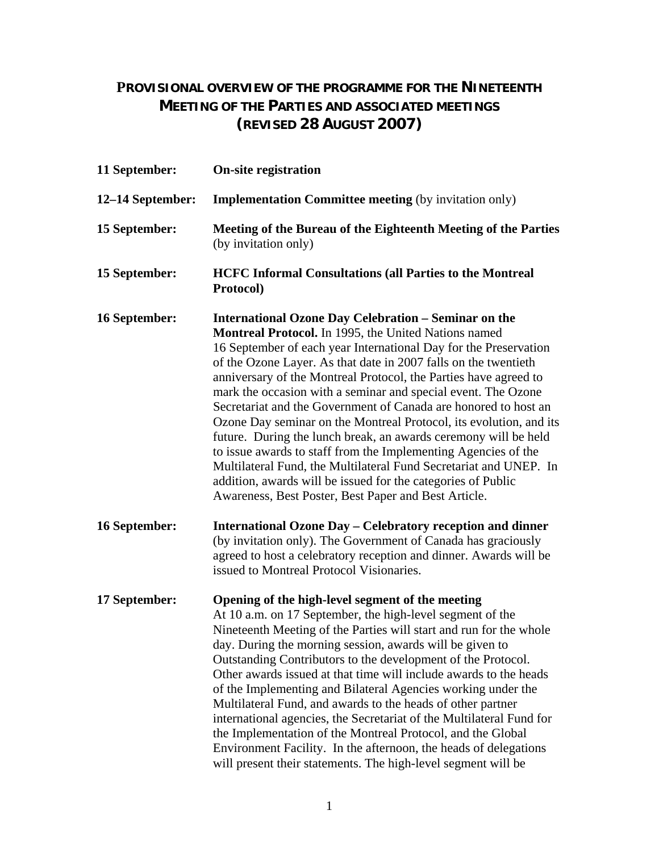## **PROVISIONAL OVERVIEW OF THE PROGRAMME FOR THE NINETEENTH MEETING OF THE PARTIES AND ASSOCIATED MEETINGS (REVISED 28 AUGUST 2007)**

| 11 September:    | <b>On-site registration</b>                                                                                                                                                                                                                                                                                                                                                                                                                                                                                                                                                                                                                                                                                                                                                                                                                                                       |
|------------------|-----------------------------------------------------------------------------------------------------------------------------------------------------------------------------------------------------------------------------------------------------------------------------------------------------------------------------------------------------------------------------------------------------------------------------------------------------------------------------------------------------------------------------------------------------------------------------------------------------------------------------------------------------------------------------------------------------------------------------------------------------------------------------------------------------------------------------------------------------------------------------------|
| 12–14 September: | <b>Implementation Committee meeting (by invitation only)</b>                                                                                                                                                                                                                                                                                                                                                                                                                                                                                                                                                                                                                                                                                                                                                                                                                      |
| 15 September:    | Meeting of the Bureau of the Eighteenth Meeting of the Parties<br>(by invitation only)                                                                                                                                                                                                                                                                                                                                                                                                                                                                                                                                                                                                                                                                                                                                                                                            |
| 15 September:    | <b>HCFC Informal Consultations (all Parties to the Montreal</b><br>Protocol)                                                                                                                                                                                                                                                                                                                                                                                                                                                                                                                                                                                                                                                                                                                                                                                                      |
| 16 September:    | <b>International Ozone Day Celebration – Seminar on the</b><br><b>Montreal Protocol.</b> In 1995, the United Nations named<br>16 September of each year International Day for the Preservation<br>of the Ozone Layer. As that date in 2007 falls on the twentieth<br>anniversary of the Montreal Protocol, the Parties have agreed to<br>mark the occasion with a seminar and special event. The Ozone<br>Secretariat and the Government of Canada are honored to host an<br>Ozone Day seminar on the Montreal Protocol, its evolution, and its<br>future. During the lunch break, an awards ceremony will be held<br>to issue awards to staff from the Implementing Agencies of the<br>Multilateral Fund, the Multilateral Fund Secretariat and UNEP. In<br>addition, awards will be issued for the categories of Public<br>Awareness, Best Poster, Best Paper and Best Article. |
| 16 September:    | <b>International Ozone Day - Celebratory reception and dinner</b><br>(by invitation only). The Government of Canada has graciously<br>agreed to host a celebratory reception and dinner. Awards will be<br>issued to Montreal Protocol Visionaries.                                                                                                                                                                                                                                                                                                                                                                                                                                                                                                                                                                                                                               |
| 17 September:    | Opening of the high-level segment of the meeting<br>At 10 a.m. on 17 September, the high-level segment of the<br>Nineteenth Meeting of the Parties will start and run for the whole<br>day. During the morning session, awards will be given to<br>Outstanding Contributors to the development of the Protocol.<br>Other awards issued at that time will include awards to the heads<br>of the Implementing and Bilateral Agencies working under the<br>Multilateral Fund, and awards to the heads of other partner<br>international agencies, the Secretariat of the Multilateral Fund for<br>the Implementation of the Montreal Protocol, and the Global<br>Environment Facility. In the afternoon, the heads of delegations<br>will present their statements. The high-level segment will be                                                                                   |